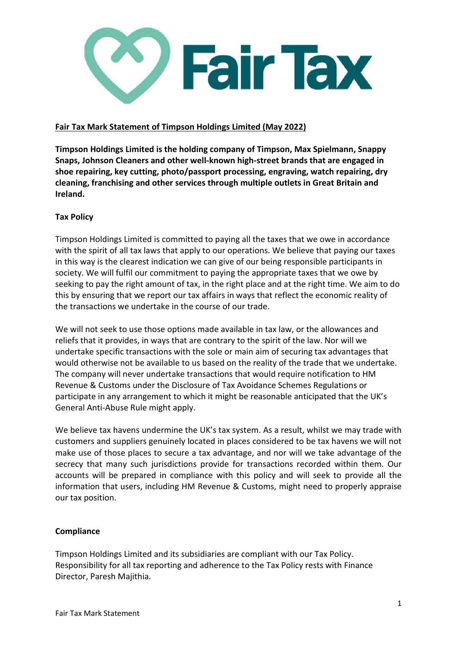

## **Fair Tax Mark Statement of Timpson Holdings Limited (May 2022)**

**Timpson Holdings Limited is the holding company of Timpson, Max Spielmann, Snappy Snaps, Johnson Cleaners and other well-known high-street brands that are engaged in shoe repairing, key cutting, photo/passport processing, engraving, watch repairing, dry cleaning, franchising and other services through multiple outlets in Great Britain and Ireland.**

## **Tax Policy**

Timpson Holdings Limited is committed to paying all the taxes that we owe in accordance with the spirit of all tax laws that apply to our operations. We believe that paying our taxes in this way is the clearest indication we can give of our being responsible participants in society. We will fulfil our commitment to paying the appropriate taxes that we owe by seeking to pay the right amount of tax, in the right place and at the right time. We aim to do this by ensuring that we report our tax affairs in ways that reflect the economic reality of the transactions we undertake in the course of our trade.

We will not seek to use those options made available in tax law, or the allowances and reliefs that it provides, in ways that are contrary to the spirit of the law. Nor will we undertake specific transactions with the sole or main aim of securing tax advantages that would otherwise not be available to us based on the reality of the trade that we undertake. The company will never undertake transactions that would require notification to HM Revenue & Customs under the Disclosure of Tax Avoidance Schemes Regulations or participate in any arrangement to which it might be reasonable anticipated that the UK's General Anti-Abuse Rule might apply.

We believe tax havens undermine the UK's tax system. As a result, whilst we may trade with customers and suppliers genuinely located in places considered to be tax havens we will not make use of those places to secure a tax advantage, and nor will we take advantage of the secrecy that many such jurisdictions provide for transactions recorded within them. Our accounts will be prepared in compliance with this policy and will seek to provide all the information that users, including HM Revenue & Customs, might need to properly appraise our tax position.

## **Compliance**

Timpson Holdings Limited and its subsidiaries are compliant with our Tax Policy. Responsibility for all tax reporting and adherence to the Tax Policy rests with Finance Director, Paresh Majithia.